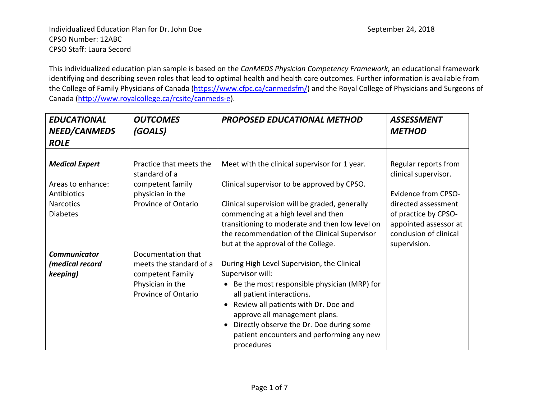This individualized education plan sample is based on the *CanMEDS Physician Competency Framework*, an educational framework identifying and describing seven roles that lead to optimal health and health care outcomes. Further information is available from the College of Family Physicians of Canada [\(https://www.cfpc.ca/canmedsfm/\)](https://www.cfpc.ca/canmedsfm/) and the Royal College of Physicians and Surgeons of Canada [\(http://www.royalcollege.ca/rcsite/canmeds-e\)](http://www.royalcollege.ca/rcsite/canmeds-e).

| <b>EDUCATIONAL</b><br>NEED/CANMEDS<br><b>ROLE</b>                                                | <b>OUTCOMES</b><br>(GOALS)                                                                                   | <b>PROPOSED EDUCATIONAL METHOD</b>                                                                                                                                                                                                                                                                                          | <b>ASSESSMENT</b><br><b>METHOD</b>                                                                                                                 |
|--------------------------------------------------------------------------------------------------|--------------------------------------------------------------------------------------------------------------|-----------------------------------------------------------------------------------------------------------------------------------------------------------------------------------------------------------------------------------------------------------------------------------------------------------------------------|----------------------------------------------------------------------------------------------------------------------------------------------------|
| <b>Medical Expert</b><br>Areas to enhance:<br>Antibiotics<br><b>Narcotics</b><br><b>Diabetes</b> | Practice that meets the<br>standard of a<br>competent family<br>physician in the<br>Province of Ontario      | Meet with the clinical supervisor for 1 year.<br>Clinical supervisor to be approved by CPSO.<br>Clinical supervision will be graded, generally<br>commencing at a high level and then<br>transitioning to moderate and then low level on                                                                                    | Regular reports from<br>clinical supervisor.<br><b>Evidence from CPSO-</b><br>directed assessment<br>of practice by CPSO-<br>appointed assessor at |
|                                                                                                  |                                                                                                              | the recommendation of the Clinical Supervisor<br>but at the approval of the College.                                                                                                                                                                                                                                        | conclusion of clinical<br>supervision.                                                                                                             |
| <b>Communicator</b><br>(medical record<br>keeping)                                               | Documentation that<br>meets the standard of a<br>competent Family<br>Physician in the<br>Province of Ontario | During High Level Supervision, the Clinical<br>Supervisor will:<br>Be the most responsible physician (MRP) for<br>all patient interactions.<br>Review all patients with Dr. Doe and<br>approve all management plans.<br>Directly observe the Dr. Doe during some<br>patient encounters and performing any new<br>procedures |                                                                                                                                                    |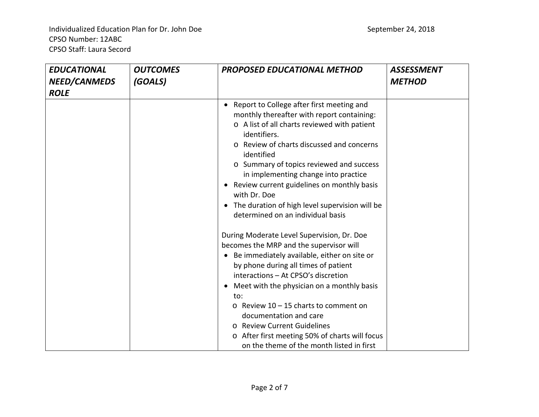Individualized Education Plan for Dr. John Doe September 24, 2018 CPSO Number: 12ABC CPSO Staff: Laura Secord

| <b>EDUCATIONAL</b><br><b>NEED/CANMEDS</b><br><b>ROLE</b> | <b>OUTCOMES</b><br>(GOALS) | <b>PROPOSED EDUCATIONAL METHOD</b>                                                                                                                                                                                                                                                                                                                                                                                                                                              | <b>ASSESSMENT</b><br><b>METHOD</b> |
|----------------------------------------------------------|----------------------------|---------------------------------------------------------------------------------------------------------------------------------------------------------------------------------------------------------------------------------------------------------------------------------------------------------------------------------------------------------------------------------------------------------------------------------------------------------------------------------|------------------------------------|
|                                                          |                            | Report to College after first meeting and<br>monthly thereafter with report containing:<br>o A list of all charts reviewed with patient<br>identifiers.<br>Review of charts discussed and concerns<br>identified<br>o Summary of topics reviewed and success<br>in implementing change into practice<br>Review current guidelines on monthly basis<br>with Dr. Doe<br>The duration of high level supervision will be<br>determined on an individual basis                       |                                    |
|                                                          |                            | During Moderate Level Supervision, Dr. Doe<br>becomes the MRP and the supervisor will<br>Be immediately available, either on site or<br>by phone during all times of patient<br>interactions - At CPSO's discretion<br>Meet with the physician on a monthly basis<br>to:<br>$\circ$ Review 10 - 15 charts to comment on<br>documentation and care<br>o Review Current Guidelines<br>o After first meeting 50% of charts will focus<br>on the theme of the month listed in first |                                    |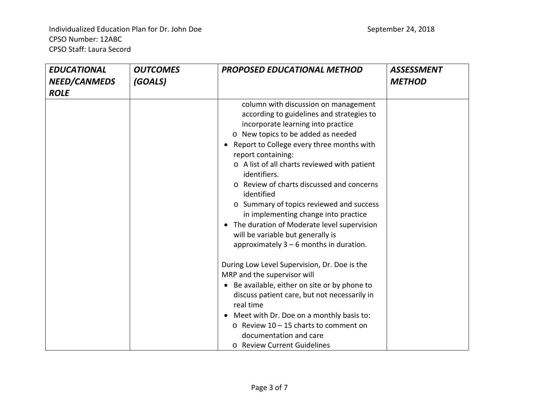Individualized Education Plan for Dr. John Doe September 24, 2018 CPSO Number: 12ABC CPSO Staff: Laura Secord

| <b>EDUCATIONAL</b><br>NEED/CANMEDS | <b>OUTCOMES</b><br>(GOALS) | <b>PROPOSED EDUCATIONAL METHOD</b>                                                                                                                                                                                                                                                                                                                                                                                                                                                                                                                                                | <b>ASSESSMENT</b><br><b>METHOD</b> |
|------------------------------------|----------------------------|-----------------------------------------------------------------------------------------------------------------------------------------------------------------------------------------------------------------------------------------------------------------------------------------------------------------------------------------------------------------------------------------------------------------------------------------------------------------------------------------------------------------------------------------------------------------------------------|------------------------------------|
| <b>ROLE</b>                        |                            | column with discussion on management<br>according to guidelines and strategies to<br>incorporate learning into practice<br>o New topics to be added as needed<br>Report to College every three months with<br>report containing:<br>o A list of all charts reviewed with patient<br>identifiers.<br>o Review of charts discussed and concerns<br>identified<br>o Summary of topics reviewed and success<br>in implementing change into practice<br>• The duration of Moderate level supervision<br>will be variable but generally is<br>approximately $3 - 6$ months in duration. |                                    |
|                                    |                            | During Low Level Supervision, Dr. Doe is the<br>MRP and the supervisor will<br>Be available, either on site or by phone to<br>$\bullet$<br>discuss patient care, but not necessarily in<br>real time<br>Meet with Dr. Doe on a monthly basis to:<br>$\circ$ Review 10 - 15 charts to comment on<br>documentation and care<br>o Review Current Guidelines                                                                                                                                                                                                                          |                                    |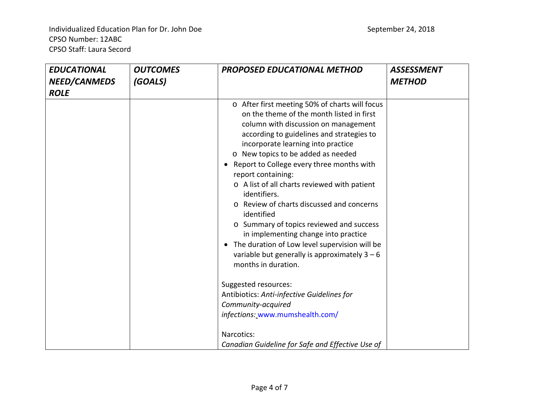| <b>EDUCATIONAL</b>          | <b>OUTCOMES</b> | <b>PROPOSED EDUCATIONAL METHOD</b>                                                                                                                                                                                                                                                                                                                                                                                                                                                                                                                                                                                                                                        | <b>ASSESSMENT</b> |
|-----------------------------|-----------------|---------------------------------------------------------------------------------------------------------------------------------------------------------------------------------------------------------------------------------------------------------------------------------------------------------------------------------------------------------------------------------------------------------------------------------------------------------------------------------------------------------------------------------------------------------------------------------------------------------------------------------------------------------------------------|-------------------|
| NEED/CANMEDS<br><b>ROLE</b> | (GOALS)         |                                                                                                                                                                                                                                                                                                                                                                                                                                                                                                                                                                                                                                                                           | <b>METHOD</b>     |
|                             |                 | o After first meeting 50% of charts will focus<br>on the theme of the month listed in first<br>column with discussion on management<br>according to guidelines and strategies to<br>incorporate learning into practice<br>o New topics to be added as needed<br>Report to College every three months with<br>report containing:<br>o A list of all charts reviewed with patient<br>identifiers.<br>o Review of charts discussed and concerns<br>identified<br>o Summary of topics reviewed and success<br>in implementing change into practice<br>The duration of Low level supervision will be<br>variable but generally is approximately $3 - 6$<br>months in duration. |                   |
|                             |                 | Suggested resources:<br>Antibiotics: Anti-infective Guidelines for<br>Community-acquired<br>infections: www.mumshealth.com/<br>Narcotics:<br>Canadian Guideline for Safe and Effective Use of                                                                                                                                                                                                                                                                                                                                                                                                                                                                             |                   |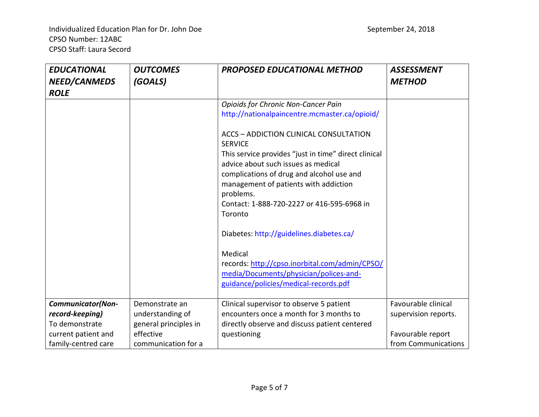| <b>EDUCATIONAL</b><br>NEED/CANMEDS<br><b>ROLE</b>                                                           | <b>OUTCOMES</b><br>(GOALS)                                                                      | <b>PROPOSED EDUCATIONAL METHOD</b>                                                                                                                                                                                                                      | <b>ASSESSMENT</b><br><b>METHOD</b>                                                      |
|-------------------------------------------------------------------------------------------------------------|-------------------------------------------------------------------------------------------------|---------------------------------------------------------------------------------------------------------------------------------------------------------------------------------------------------------------------------------------------------------|-----------------------------------------------------------------------------------------|
|                                                                                                             |                                                                                                 | <b>Opioids for Chronic Non-Cancer Pain</b>                                                                                                                                                                                                              |                                                                                         |
|                                                                                                             |                                                                                                 | http://nationalpaincentre.mcmaster.ca/opioid/                                                                                                                                                                                                           |                                                                                         |
|                                                                                                             |                                                                                                 | ACCS - ADDICTION CLINICAL CONSULTATION<br><b>SERVICE</b>                                                                                                                                                                                                |                                                                                         |
|                                                                                                             |                                                                                                 | This service provides "just in time" direct clinical<br>advice about such issues as medical<br>complications of drug and alcohol use and<br>management of patients with addiction<br>problems.<br>Contact: 1-888-720-2227 or 416-595-6968 in<br>Toronto |                                                                                         |
|                                                                                                             |                                                                                                 | Diabetes: http://guidelines.diabetes.ca/                                                                                                                                                                                                                |                                                                                         |
|                                                                                                             |                                                                                                 | Medical<br>records: http://cpso.inorbital.com/admin/CPSO/<br>media/Documents/physician/polices-and-<br>guidance/policies/medical-records.pdf                                                                                                            |                                                                                         |
| <b>Communicator(Non-</b><br>record-keeping)<br>To demonstrate<br>current patient and<br>family-centred care | Demonstrate an<br>understanding of<br>general principles in<br>effective<br>communication for a | Clinical supervisor to observe 5 patient<br>encounters once a month for 3 months to<br>directly observe and discuss patient centered<br>questioning                                                                                                     | Favourable clinical<br>supervision reports.<br>Favourable report<br>from Communications |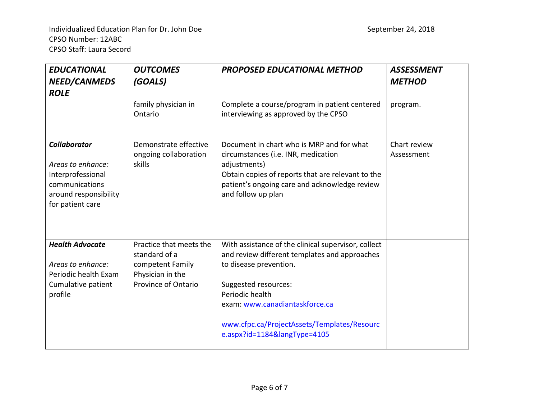| <b>EDUCATIONAL</b><br>NEED/CANMEDS                                                                                           | <b>OUTCOMES</b><br>(GOALS)                                                                              | <b>PROPOSED EDUCATIONAL METHOD</b>                                                                                                                                                                                                                                                         | <b>ASSESSMENT</b><br><b>METHOD</b> |
|------------------------------------------------------------------------------------------------------------------------------|---------------------------------------------------------------------------------------------------------|--------------------------------------------------------------------------------------------------------------------------------------------------------------------------------------------------------------------------------------------------------------------------------------------|------------------------------------|
| <b>ROLE</b>                                                                                                                  |                                                                                                         |                                                                                                                                                                                                                                                                                            |                                    |
|                                                                                                                              | family physician in<br>Ontario                                                                          | Complete a course/program in patient centered<br>interviewing as approved by the CPSO                                                                                                                                                                                                      | program.                           |
| <b>Collaborator</b><br>Areas to enhance:<br>Interprofessional<br>communications<br>around responsibility<br>for patient care | Demonstrate effective<br>ongoing collaboration<br>skills                                                | Document in chart who is MRP and for what<br>circumstances (i.e. INR, medication<br>adjustments)<br>Obtain copies of reports that are relevant to the<br>patient's ongoing care and acknowledge review<br>and follow up plan                                                               | Chart review<br>Assessment         |
| <b>Health Advocate</b><br>Areas to enhance:<br>Periodic health Exam<br>Cumulative patient<br>profile                         | Practice that meets the<br>standard of a<br>competent Family<br>Physician in the<br>Province of Ontario | With assistance of the clinical supervisor, collect<br>and review different templates and approaches<br>to disease prevention.<br>Suggested resources:<br>Periodic health<br>exam: www.canadiantaskforce.ca<br>www.cfpc.ca/ProjectAssets/Templates/Resourc<br>e.aspx?id=1184&langType=4105 |                                    |